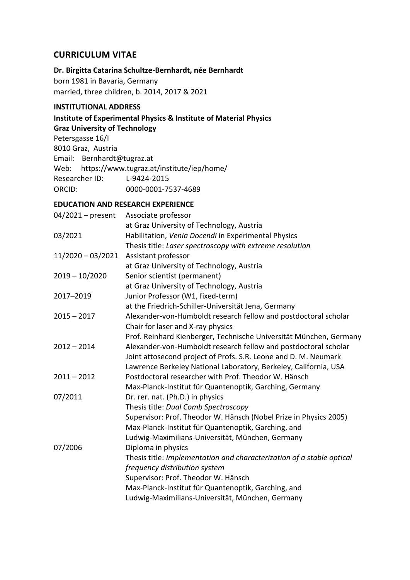# **CURRICULUM VITAE**

## **Dr. Birgitta Catarina Schultze-Bernhardt, née Bernhardt**

born 1981 in Bavaria, Germany married, three children, b. 2014, 2017 & 2021

## **INSTITUTIONAL ADDRESS**

**Institute of Experimental Physics & Institute of Material Physics Graz University of Technology**

Petersgasse 16/I 8010 Graz, Austria Email: [Bernhardt@tugraz.at](mailto:Birgitta.Bernhardt@uni-jena.de) Web: https://www.tugraz.at/institute/iep/home/ Researcher ID: L-9424-2015 ORCID: 0000-0001-7537-4689

## **EDUCATION AND RESEARCH EXPERIENCE**

| $04/2021$ – present | Associate professor                                                   |
|---------------------|-----------------------------------------------------------------------|
|                     | at Graz University of Technology, Austria                             |
| 03/2021             | Habilitation, Venia Docendi in Experimental Physics                   |
|                     | Thesis title: Laser spectroscopy with extreme resolution              |
| $11/2020 - 03/2021$ | Assistant professor                                                   |
|                     | at Graz University of Technology, Austria                             |
| $2019 - 10/2020$    | Senior scientist (permanent)                                          |
|                     | at Graz University of Technology, Austria                             |
| 2017-2019           | Junior Professor (W1, fixed-term)                                     |
|                     | at the Friedrich-Schiller-Universität Jena, Germany                   |
| $2015 - 2017$       | Alexander-von-Humboldt research fellow and postdoctoral scholar       |
|                     | Chair for laser and X-ray physics                                     |
|                     | Prof. Reinhard Kienberger, Technische Universität München, Germany    |
| $2012 - 2014$       | Alexander-von-Humboldt research fellow and postdoctoral scholar       |
|                     | Joint attosecond project of Profs. S.R. Leone and D. M. Neumark       |
|                     | Lawrence Berkeley National Laboratory, Berkeley, California, USA      |
| $2011 - 2012$       | Postdoctoral researcher with Prof. Theodor W. Hänsch                  |
|                     | Max-Planck-Institut für Quantenoptik, Garching, Germany               |
| 07/2011             | Dr. rer. nat. (Ph.D.) in physics                                      |
|                     | Thesis title: Dual Comb Spectroscopy                                  |
|                     | Supervisor: Prof. Theodor W. Hänsch (Nobel Prize in Physics 2005)     |
|                     | Max-Planck-Institut für Quantenoptik, Garching, and                   |
|                     | Ludwig-Maximilians-Universität, München, Germany                      |
| 07/2006             | Diploma in physics                                                    |
|                     | Thesis title: Implementation and characterization of a stable optical |
|                     | frequency distribution system                                         |
|                     | Supervisor: Prof. Theodor W. Hänsch                                   |
|                     | Max-Planck-Institut für Quantenoptik, Garching, and                   |
|                     | Ludwig-Maximilians-Universität, München, Germany                      |